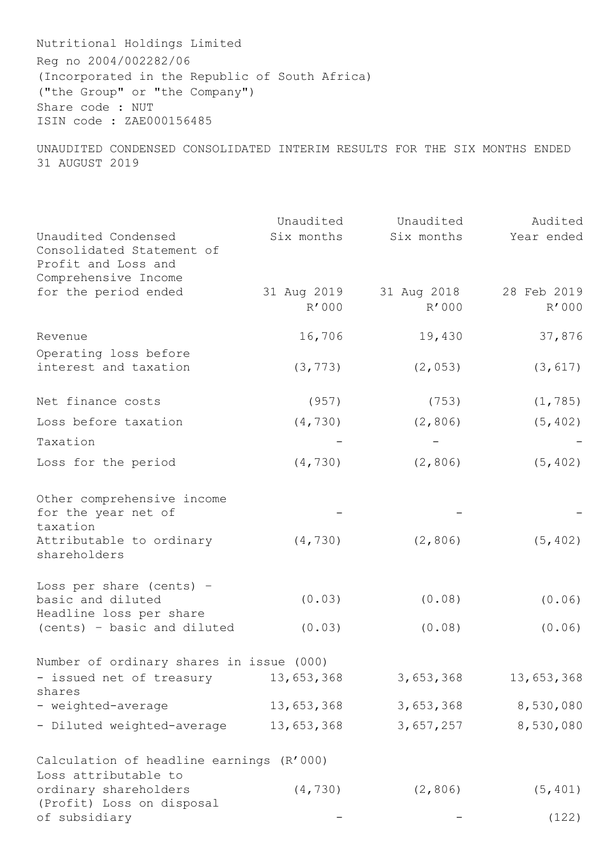Nutritional Holdings Limited Reg no 2004/002282/06 (Incorporated in the Republic of South Africa) ("the Group" or "the Company") Share code : NUT ISIN code : ZAE000156485

UNAUDITED CONDENSED CONSOLIDATED INTERIM RESULTS FOR THE SIX MONTHS ENDED 31 AUGUST 2019

|                                                                                                 | Unaudited   | Unaudited   | Audited     |
|-------------------------------------------------------------------------------------------------|-------------|-------------|-------------|
| Unaudited Condensed<br>Consolidated Statement of<br>Profit and Loss and<br>Comprehensive Income | Six months  | Six months  | Year ended  |
| for the period ended                                                                            | 31 Aug 2019 | 31 Aug 2018 | 28 Feb 2019 |
|                                                                                                 | R'000       | R'000       | R'000       |
| Revenue                                                                                         | 16,706      | 19,430      | 37,876      |
| Operating loss before<br>interest and taxation                                                  | (3, 773)    | (2, 053)    | (3, 617)    |
| Net finance costs                                                                               | (957)       | (753)       | (1, 785)    |
| Loss before taxation                                                                            | (4, 730)    | (2, 806)    | (5, 402)    |
| Taxation                                                                                        |             |             |             |
| Loss for the period                                                                             | (4, 730)    | (2, 806)    | (5, 402)    |
| Other comprehensive income<br>for the year net of<br>taxation                                   |             |             |             |
| Attributable to ordinary<br>shareholders                                                        | (4, 730)    | (2, 806)    | (5, 402)    |
| Loss per share (cents) -                                                                        |             |             |             |
| basic and diluted<br>Headline loss per share                                                    | (0.03)      | (0.08)      | (0.06)      |
| (cents) - basic and diluted                                                                     | (0.03)      | (0.08)      | (0.06)      |
| Number of ordinary shares in issue (000)                                                        |             |             |             |
| - issued net of treasury<br>shares                                                              | 13,653,368  | 3,653,368   | 13,653,368  |
| - weighted-average                                                                              | 13,653,368  | 3,653,368   | 8,530,080   |
| - Diluted weighted-average                                                                      | 13,653,368  | 3,657,257   | 8,530,080   |
| Calculation of headline earnings (R'000)<br>Loss attributable to                                |             |             |             |
| ordinary shareholders                                                                           | (4, 730)    | (2, 806)    | (5, 401)    |
| (Profit) Loss on disposal<br>of subsidiary                                                      |             |             | (122)       |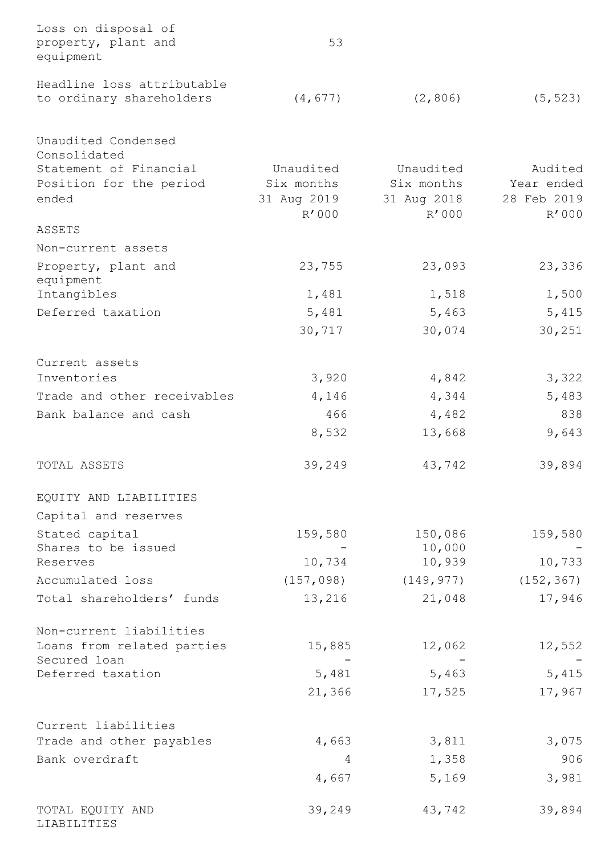| Loss on disposal of<br>property, plant and<br>equipment | 53          |             |             |
|---------------------------------------------------------|-------------|-------------|-------------|
| Headline loss attributable                              |             |             |             |
| to ordinary shareholders                                | (4, 677)    | (2, 806)    | (5, 523)    |
| Unaudited Condensed<br>Consolidated                     |             |             |             |
| Statement of Financial                                  | Unaudited   | Unaudited   | Audited     |
| Position for the period                                 | Six months  | Six months  | Year ended  |
| ended                                                   | 31 Aug 2019 | 31 Aug 2018 | 28 Feb 2019 |
| ASSETS                                                  | R'000       | R'000       | R'000       |
|                                                         |             |             |             |
| Non-current assets                                      |             |             |             |
| Property, plant and<br>equipment                        | 23,755      | 23,093      | 23,336      |
| Intangibles                                             | 1,481       | 1,518       | 1,500       |
| Deferred taxation                                       | 5,481       | 5,463       | 5,415       |
|                                                         | 30,717      | 30,074      | 30,251      |
|                                                         |             |             |             |
| Current assets<br>Inventories                           | 3,920       | 4,842       | 3,322       |
| Trade and other receivables                             | 4,146       | 4,344       | 5,483       |
|                                                         |             |             |             |
| Bank balance and cash                                   | 466         | 4,482       | 838         |
|                                                         | 8,532       | 13,668      | 9,643       |
| TOTAL ASSETS                                            | 39,249      | 43,742      | 39,894      |
| EQUITY AND LIABILITIES                                  |             |             |             |
| Capital and reserves                                    |             |             |             |
| Stated capital                                          | 159,580     | 150,086     | 159,580     |
| Shares to be issued                                     |             | 10,000      |             |
| Reserves                                                | 10,734      | 10,939      | 10,733      |
| Accumulated loss                                        | (157, 098)  | (149, 977)  | (152, 367)  |
| Total shareholders' funds                               | 13,216      | 21,048      | 17,946      |
| Non-current liabilities                                 |             |             |             |
| Loans from related parties                              | 15,885      | 12,062      | 12,552      |
| Secured loan                                            |             |             |             |
| Deferred taxation                                       | 5,481       | 5,463       | 5,415       |
|                                                         | 21,366      | 17,525      | 17,967      |
| Current liabilities                                     |             |             |             |
| Trade and other payables                                | 4,663       | 3,811       | 3,075       |
| Bank overdraft                                          | 4           | 1,358       | 906         |
|                                                         |             |             | 3,981       |
|                                                         | 4,667       | 5,169       |             |
| TOTAL EQUITY AND<br>LIABILITIES                         | 39,249      | 43,742      | 39,894      |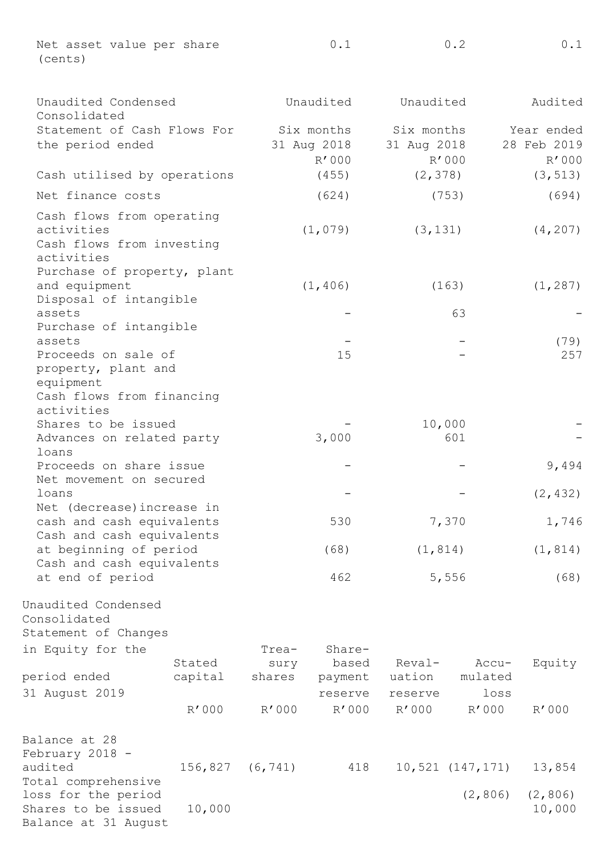Net asset value per share (cents) 0.1 0.2 0.1

| Unaudited Condensed<br>Consolidated                                                |                   |                | Unaudited        | Unaudited        |                      | Audited            |
|------------------------------------------------------------------------------------|-------------------|----------------|------------------|------------------|----------------------|--------------------|
| Statement of Cash Flows For                                                        |                   |                | Six months       | Six months       |                      | Year ended         |
| the period ended                                                                   |                   |                | 31 Aug 2018      | 31 Aug 2018      |                      | 28 Feb 2019        |
|                                                                                    |                   |                | R'000            | R'000            |                      | R'000              |
| Cash utilised by operations                                                        |                   |                | (455)            | (2, 378)         |                      | (3, 513)           |
| Net finance costs                                                                  |                   | (624)          |                  | (753)            |                      | (694)              |
| Cash flows from operating<br>activities<br>Cash flows from investing<br>activities |                   |                | (1,079)          | (3, 131)         |                      | (4, 207)           |
| Purchase of property, plant<br>and equipment<br>Disposal of intangible             |                   |                | (1, 406)         | (163)            |                      | (1, 287)           |
| assets<br>Purchase of intangible                                                   |                   |                |                  |                  | 63                   |                    |
| assets                                                                             |                   |                |                  |                  |                      | (79)               |
| Proceeds on sale of<br>property, plant and<br>equipment                            |                   |                | 15               |                  |                      | 257                |
| Cash flows from financing<br>activities                                            |                   |                |                  |                  |                      |                    |
| Shares to be issued                                                                |                   |                |                  | 10,000           |                      |                    |
| Advances on related party<br>loans                                                 |                   |                | 3,000            |                  | 601                  |                    |
| Proceeds on share issue<br>Net movement on secured                                 |                   |                |                  |                  |                      | 9,494              |
| loans<br>Net (decrease) increase in                                                |                   |                |                  |                  |                      | (2, 432)           |
| cash and cash equivalents<br>Cash and cash equivalents                             |                   |                | 530              | 7,370            |                      | 1,746              |
| at beginning of period<br>Cash and cash equivalents                                |                   |                | (68)             | (1, 814)         |                      | (1, 814)           |
| at end of period                                                                   |                   |                | 462              | 5,556            |                      | (68)               |
| Unaudited Condensed<br>Consolidated<br>Statement of Changes<br>in Equity for the   |                   | Trea-          | Share-           |                  |                      |                    |
| period ended                                                                       | Stated<br>capital | sury<br>shares | based<br>payment | Reval-<br>uation | Accu-<br>mulated     | Equity             |
| 31 August 2019                                                                     | R'000             | R'000          | reserve<br>R'000 | reserve<br>R'000 | loss<br>R'000        | R'000              |
| Balance at 28<br>February 2018 -                                                   |                   |                |                  |                  |                      |                    |
| audited<br>Total comprehensive                                                     | 156,827           | (6, 741)       | 418              |                  | $10,521$ $(147,171)$ | 13,854             |
| loss for the period<br>Shares to be issued<br>Balance at 31 August                 | 10,000            |                |                  |                  | (2, 806)             | (2, 806)<br>10,000 |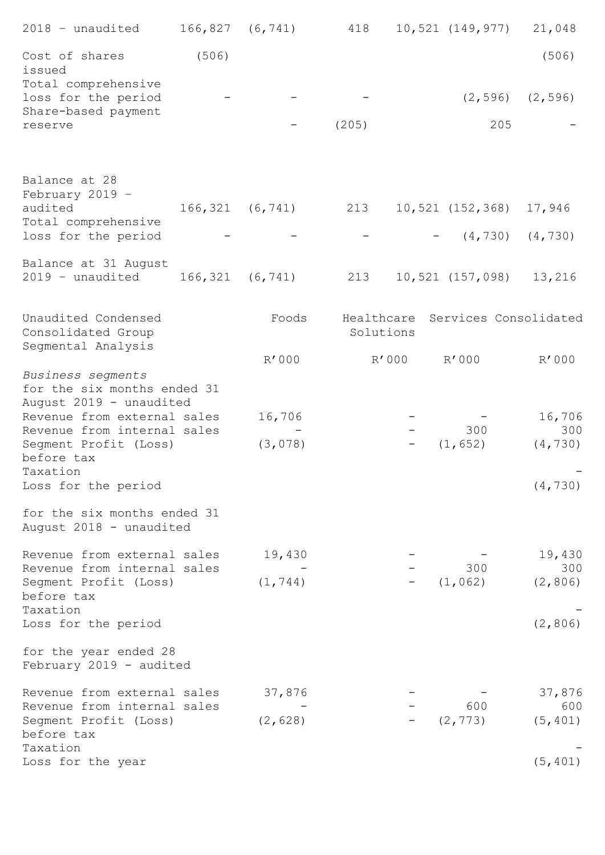| 2018 - unaudited                                                                                              | $166, 827$ $(6, 741)$ |                       | 418       |       | 10,521 (149,977)                 | 21,048          |
|---------------------------------------------------------------------------------------------------------------|-----------------------|-----------------------|-----------|-------|----------------------------------|-----------------|
| Cost of shares<br>issued                                                                                      | (506)                 |                       |           |       |                                  | (506)           |
| Total comprehensive<br>loss for the period<br>Share-based payment                                             |                       |                       |           |       | (2, 596)                         | (2, 596)        |
| reserve                                                                                                       |                       |                       | (205)     |       | 205                              |                 |
| Balance at 28<br>February 2019 -<br>audited                                                                   |                       | $166, 321$ $(6, 741)$ | 213       |       | 10,521 (152,368)                 | 17,946          |
| Total comprehensive<br>loss for the period                                                                    |                       |                       |           |       | $-$ (4,730)                      | (4, 730)        |
| Balance at 31 August<br>2019 - unaudited                                                                      |                       | $166, 321$ $(6, 741)$ | 213       |       | 10,521 (157,098)                 | 13,216          |
| Unaudited Condensed<br>Consolidated Group                                                                     |                       | Foods                 | Solutions |       | Healthcare Services Consolidated |                 |
| Segmental Analysis                                                                                            |                       | R'000                 |           | R'000 | R'000                            | R'000           |
| Business segments<br>for the six months ended 31<br>August 2019 - unaudited<br>Revenue from external sales    |                       | 16,706                |           |       |                                  | 16,706          |
| Revenue from internal sales<br>Segment Profit (Loss)<br>before tax<br>Taxation                                |                       | (3,078)               |           |       | 300<br>(1, 652)                  | 300<br>(4, 730) |
| Loss for the period                                                                                           |                       |                       |           |       |                                  | (4, 730)        |
| for the six months ended 31<br>August 2018 - unaudited                                                        |                       |                       |           |       |                                  |                 |
| Revenue from external sales<br>Revenue from internal sales<br>Segment Profit (Loss)<br>before tax<br>Taxation |                       | 19,430                |           |       | 300                              | 19,430<br>300   |
|                                                                                                               |                       | (1, 744)              |           |       | (1, 062)                         | (2, 806)        |
| Loss for the period                                                                                           |                       |                       |           |       |                                  | (2, 806)        |
| for the year ended 28<br>February 2019 - audited                                                              |                       |                       |           |       |                                  |                 |
| Revenue from external sales<br>Revenue from internal sales<br>Segment Profit (Loss)<br>before tax<br>Taxation |                       | 37,876                |           |       | 600                              | 37,876<br>600   |
|                                                                                                               |                       | (2, 628)              |           |       | (2, 773)                         | (5, 401)        |
| Loss for the year                                                                                             |                       |                       |           |       |                                  | (5, 401)        |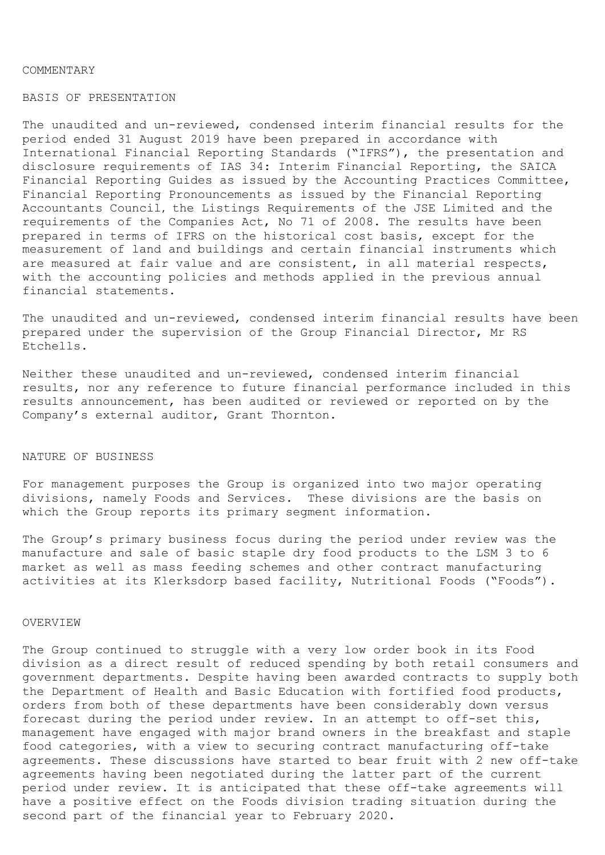#### COMMENTARY

# BASIS OF PRESENTATION

The unaudited and un-reviewed, condensed interim financial results for the period ended 31 August 2019 have been prepared in accordance with International Financial Reporting Standards ("IFRS"), the presentation and disclosure requirements of IAS 34: Interim Financial Reporting, the SAICA Financial Reporting Guides as issued by the Accounting Practices Committee, Financial Reporting Pronouncements as issued by the Financial Reporting Accountants Council, the Listings Requirements of the JSE Limited and the requirements of the Companies Act, No 71 of 2008. The results have been prepared in terms of IFRS on the historical cost basis, except for the measurement of land and buildings and certain financial instruments which are measured at fair value and are consistent, in all material respects, with the accounting policies and methods applied in the previous annual financial statements.

The unaudited and un-reviewed, condensed interim financial results have been prepared under the supervision of the Group Financial Director, Mr RS Etchells.

Neither these unaudited and un-reviewed, condensed interim financial results, nor any reference to future financial performance included in this results announcement, has been audited or reviewed or reported on by the Company's external auditor, Grant Thornton.

#### NATURE OF BUSINESS

For management purposes the Group is organized into two major operating divisions, namely Foods and Services. These divisions are the basis on which the Group reports its primary segment information.

The Group's primary business focus during the period under review was the manufacture and sale of basic staple dry food products to the LSM 3 to 6 market as well as mass feeding schemes and other contract manufacturing activities at its Klerksdorp based facility, Nutritional Foods ("Foods").

## OVERVIEW

The Group continued to struggle with a very low order book in its Food division as a direct result of reduced spending by both retail consumers and government departments. Despite having been awarded contracts to supply both the Department of Health and Basic Education with fortified food products, orders from both of these departments have been considerably down versus forecast during the period under review. In an attempt to off-set this, management have engaged with major brand owners in the breakfast and staple food categories, with a view to securing contract manufacturing off-take agreements. These discussions have started to bear fruit with 2 new off-take agreements having been negotiated during the latter part of the current period under review. It is anticipated that these off-take agreements will have a positive effect on the Foods division trading situation during the second part of the financial year to February 2020.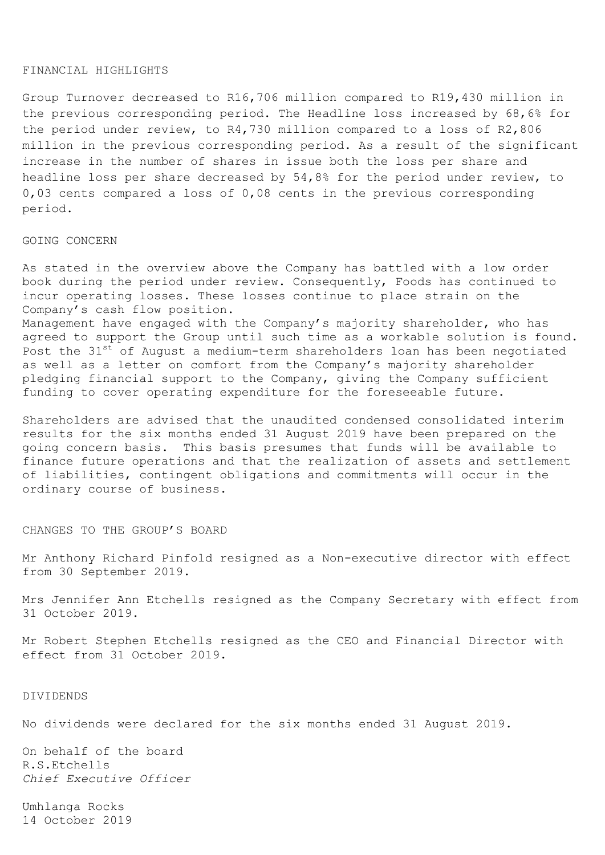#### FINANCIAL HIGHLIGHTS

Group Turnover decreased to R16,706 million compared to R19,430 million in the previous corresponding period. The Headline loss increased by 68,6% for the period under review, to R4,730 million compared to a loss of R2,806 million in the previous corresponding period. As a result of the significant increase in the number of shares in issue both the loss per share and headline loss per share decreased by 54,8% for the period under review, to 0,03 cents compared a loss of 0,08 cents in the previous corresponding period.

### GOING CONCERN

As stated in the overview above the Company has battled with a low order book during the period under review. Consequently, Foods has continued to incur operating losses. These losses continue to place strain on the Company's cash flow position.

Management have engaged with the Company's majority shareholder, who has agreed to support the Group until such time as a workable solution is found. Post the 31<sup>st</sup> of August a medium-term shareholders loan has been negotiated as well as a letter on comfort from the Company's majority shareholder pledging financial support to the Company, giving the Company sufficient funding to cover operating expenditure for the foreseeable future.

Shareholders are advised that the unaudited condensed consolidated interim results for the six months ended 31 August 2019 have been prepared on the going concern basis. This basis presumes that funds will be available to finance future operations and that the realization of assets and settlement of liabilities, contingent obligations and commitments will occur in the ordinary course of business.

CHANGES TO THE GROUP'S BOARD

Mr Anthony Richard Pinfold resigned as a Non-executive director with effect from 30 September 2019.

Mrs Jennifer Ann Etchells resigned as the Company Secretary with effect from 31 October 2019.

Mr Robert Stephen Etchells resigned as the CEO and Financial Director with effect from 31 October 2019.

## DIVIDENDS

No dividends were declared for the six months ended 31 August 2019.

On behalf of the board R.S.Etchells *Chief Executive Officer*

Umhlanga Rocks 14 October 2019